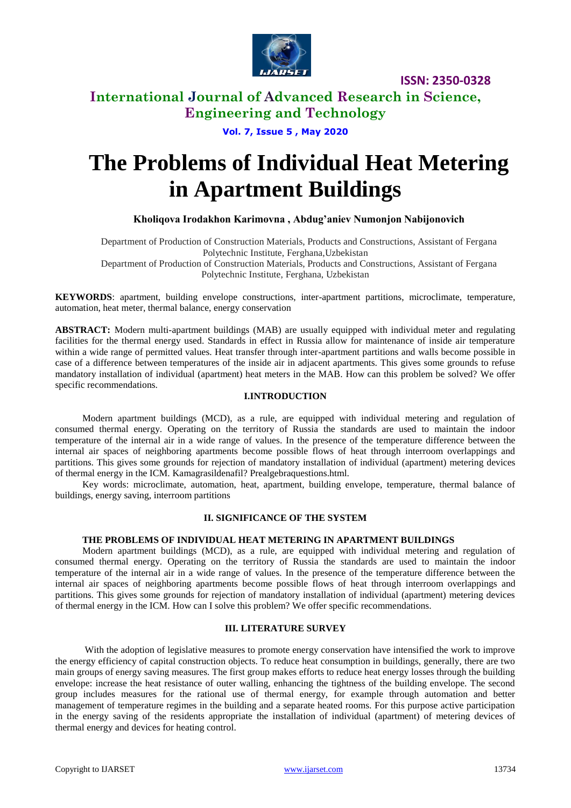

**ISSN: 2350-0328**

# **International Journal of Advanced Research in Science, Engineering and Technology**

**Vol. 7, Issue 5 , May 2020**

# **The Problems of Individual Heat Metering in Apartment Buildings**

## **Kholiqova Irodakhon Karimovna , Abdug'aniev Numonjon Nabijonovich**

Department of Production of Construction Materials, Products and Constructions, Assistant of Fergana Polytechnic Institute, Ferghana,Uzbekistan Department of Production of Construction Materials, Products and Constructions, Assistant of Fergana Polytechnic Institute, Ferghana, Uzbekistan

**KEYWORDS**: apartment, building envelope constructions, inter-apartment partitions, microclimate, temperature, automation, heat meter, thermal balance, energy conservation

**ABSTRACT:** Modern multi-apartment buildings (MAB) are usually equipped with individual meter and regulating facilities for the thermal energy used. Standards in effect in Russia allow for maintenance of inside air temperature within a wide range of permitted values. Heat transfer through inter-apartment partitions and walls become possible in case of a difference between temperatures of the inside air in adjacent apartments. This gives some grounds to refuse mandatory installation of individual (apartment) heat meters in the MAB. How can this problem be solved? We offer specific recommendations.

## **I.INTRODUCTION**

Modern apartment buildings (MCD), as a rule, are equipped with individual metering and regulation of consumed thermal energy. Operating on the territory of Russia the standards are used to maintain the indoor temperature of the internal air in a wide range of values. In the presence of the temperature difference between the internal air spaces of neighboring apartments become possible flows of heat through interroom overlappings and partitions. This gives some grounds for rejection of mandatory installation of individual (apartment) metering devices of thermal energy in the ICM. Kamagrasildenafil? Prealgebraquestions.html.

Key words: microclimate, automation, heat, apartment, building envelope, temperature, thermal balance of buildings, energy saving, interroom partitions

#### **II. SIGNIFICANCE OF THE SYSTEM**

## **THE PROBLEMS OF INDIVIDUAL HEAT METERING IN APARTMENT BUILDINGS**

Modern apartment buildings (MCD), as a rule, are equipped with individual metering and regulation of consumed thermal energy. Operating on the territory of Russia the standards are used to maintain the indoor temperature of the internal air in a wide range of values. In the presence of the temperature difference between the internal air spaces of neighboring apartments become possible flows of heat through interroom overlappings and partitions. This gives some grounds for rejection of mandatory installation of individual (apartment) metering devices of thermal energy in the ICM. How can I solve this problem? We offer specific recommendations.

## **III. LITERATURE SURVEY**

With the adoption of legislative measures to promote energy conservation have intensified the work to improve the energy efficiency of capital construction objects. To reduce heat consumption in buildings, generally, there are two main groups of energy saving measures. The first group makes efforts to reduce heat energy losses through the building envelope: increase the heat resistance of outer walling, enhancing the tightness of the building envelope. The second group includes measures for the rational use of thermal energy, for example through automation and better management of temperature regimes in the building and a separate heated rooms. For this purpose active participation in the energy saving of the residents appropriate the installation of individual (apartment) of metering devices of thermal energy and devices for heating control.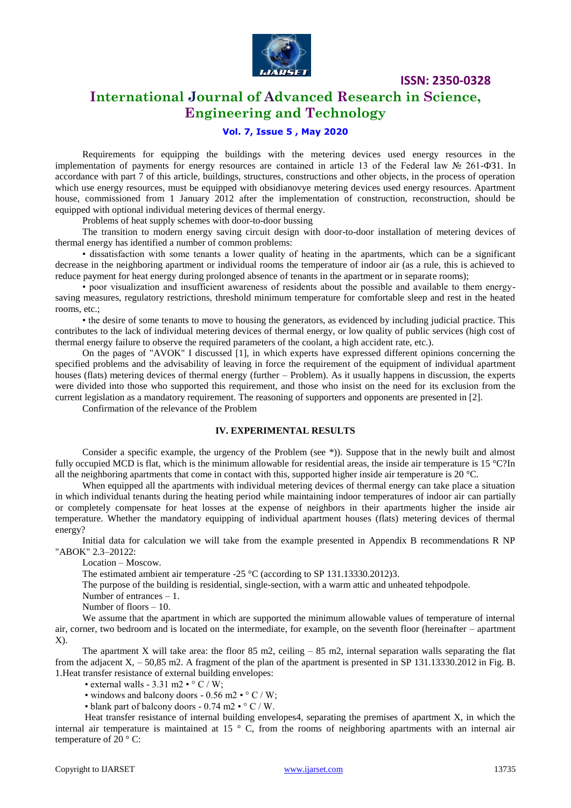

**ISSN: 2350-0328**

# **International Journal of Advanced Research in Science, Engineering and Technology**

## **Vol. 7, Issue 5 , May 2020**

Requirements for equipping the buildings with the metering devices used energy resources in the implementation of payments for energy resources are contained in article 13 of the Federal law № 261-ФЗ1. In accordance with part 7 of this article, buildings, structures, constructions and other objects, in the process of operation which use energy resources, must be equipped with obsidianovye metering devices used energy resources. Apartment house, commissioned from 1 January 2012 after the implementation of construction, reconstruction, should be equipped with optional individual metering devices of thermal energy.

Problems of heat supply schemes with door-to-door bussing

The transition to modern energy saving circuit design with door-to-door installation of metering devices of thermal energy has identified a number of common problems:

• dissatisfaction with some tenants a lower quality of heating in the apartments, which can be a significant decrease in the neighboring apartment or individual rooms the temperature of indoor air (as a rule, this is achieved to reduce payment for heat energy during prolonged absence of tenants in the apartment or in separate rooms);

• poor visualization and insufficient awareness of residents about the possible and available to them energysaving measures, regulatory restrictions, threshold minimum temperature for comfortable sleep and rest in the heated rooms, etc.;

• the desire of some tenants to move to housing the generators, as evidenced by including judicial practice. This contributes to the lack of individual metering devices of thermal energy, or low quality of public services (high cost of thermal energy failure to observe the required parameters of the coolant, a high accident rate, etc.).

On the pages of "AVOK" I discussed [1], in which experts have expressed different opinions concerning the specified problems and the advisability of leaving in force the requirement of the equipment of individual apartment houses (flats) metering devices of thermal energy (further – Problem). As it usually happens in discussion, the experts were divided into those who supported this requirement, and those who insist on the need for its exclusion from the current legislation as a mandatory requirement. The reasoning of supporters and opponents are presented in [2].

Confirmation of the relevance of the Problem

#### **IV. EXPERIMENTAL RESULTS**

Consider a specific example, the urgency of the Problem (see \*)). Suppose that in the newly built and almost fully occupied MCD is flat, which is the minimum allowable for residential areas, the inside air temperature is  $15^{\circ}$ C?In all the neighboring apartments that come in contact with this, supported higher inside air temperature is  $20^{\circ}$ C.

When equipped all the apartments with individual metering devices of thermal energy can take place a situation in which individual tenants during the heating period while maintaining indoor temperatures of indoor air can partially or completely compensate for heat losses at the expense of neighbors in their apartments higher the inside air temperature. Whether the mandatory equipping of individual apartment houses (flats) metering devices of thermal energy?

Initial data for calculation we will take from the example presented in Appendix B recommendations R NP "ABOK" 2.3–20122:

Location – Moscow.

The estimated ambient air temperature -25 °C (according to SP 131.13330.2012)3.

The purpose of the building is residential, single-section, with a warm attic and unheated tehpodpole.

Number of entrances – 1.

Number of floors – 10.

We assume that the apartment in which are supported the minimum allowable values of temperature of internal air, corner, two bedroom and is located on the intermediate, for example, on the seventh floor (hereinafter – apartment X).

The apartment X will take area: the floor  $85 \text{ m}$ , ceiling  $- 85 \text{ m}$ , internal separation walls separating the flat from the adjacent  $X_1$ , – 50,85 m2. A fragment of the plan of the apartment is presented in SP 131.13330.2012 in Fig. B. 1.Heat transfer resistance of external building envelopes:

• external walls - 3.31 m2 •  $\degree$  C / W;

• windows and balcony doors - 0.56 m2 •  $\degree$  C / W;

• blank part of balcony doors - 0.74 m2 • ° C / W.

Heat transfer resistance of internal building envelopes4, separating the premises of apartment X, in which the internal air temperature is maintained at 15  $\degree$  C, from the rooms of neighboring apartments with an internal air temperature of  $20^{\circ}$  C: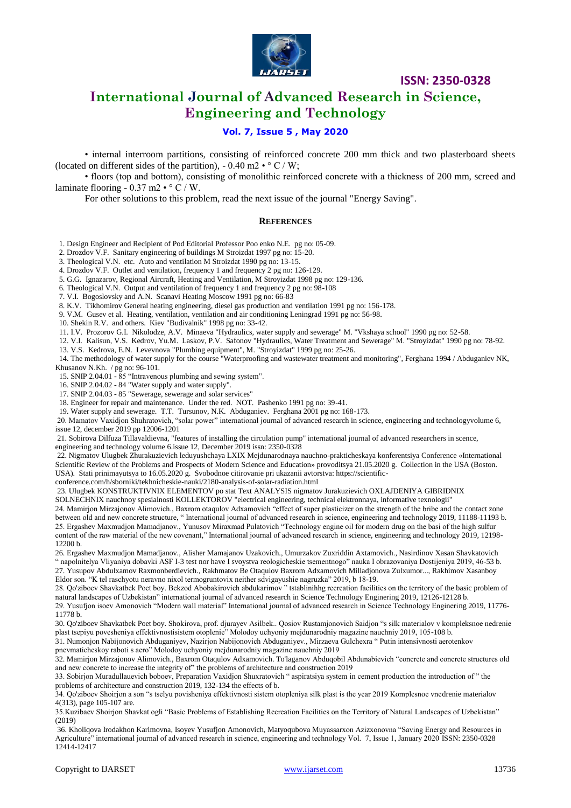

**ISSN: 2350-0328**

# **International Journal of Advanced Research in Science, Engineering and Technology**

## **Vol. 7, Issue 5 , May 2020**

• internal interroom partitions, consisting of reinforced concrete 200 mm thick and two plasterboard sheets (located on different sides of the partition),  $-0.40$  m2  $\cdot$  ° C / W;

• floors (top and bottom), consisting of monolithic reinforced concrete with a thickness of 200 mm, screed and laminate flooring -  $0.37$  m2  $\cdot$   $\circ$  C / W.

For other solutions to this problem, read the next issue of the journal "Energy Saving".

#### **REFERENCES**

1. Design Engineer and Recipient of Pod Editorial Professor Poo enko N.E. pg no: 05-09.

2. Drozdov V.F. Sanitary engineering of buildings M Stroizdat 1997 pg no: 15-20.

3. Theological V.N. etc. Auto and ventilation M Stroizdat 1990 pg no: 13-15.

4. Drozdov V.F. Outlet and ventilation, frequency 1 and frequency 2 pg no: 126-129.

5. G.G. Ignazarov, Regional Aircraft, Heating and Ventilation, M Stroyizdat 1998 pg no: 129-136.

6. Theological V.N. Output and ventilation of frequency 1 and frequency 2 pg no: 98-108

7. V.I. Bogoslovsky and A.N. Scanavi Heating Moscow 1991 pg no: 66-83

8. K.V. Tikhomirov General heating engineering, diesel gas production and ventilation 1991 pg no: 156-178.

9. V.M. Gusev et al. Heating, ventilation, ventilation and air conditioning Leningrad 1991 pg no: 56-98.

- 10. Shekin R.V. and others. Kiev "Budivalnik" 1998 pg no: 33-42.
- 11. I.V. Prozorov G.I. Nikolodze, A.V. Minaeva "Hydraulics, water supply and sewerage" M. "Vkshaya school" 1990 pg no: 52-58.
- 12. V.I. Kalisun, V.S. Kedrov, Yu.M. Laskov, P.V. Safonov "Hydraulics, Water Treatment and Sewerage" M. "Stroyizdat" 1990 pg no: 78-92. 13. V.S. Kedrova, E.N. Levevnova "Plumbing equipment", M. "Stroyizdat" 1999 pg no: 25-26.

14. The methodology of water supply for the course "Waterproofing and wastewater treatment and monitoring", Ferghana 1994 / Abduganiev NK, Khusanov N.Kh. / pg no: 96-101.

15. SNIP 2.04.01 - 85 "Intravenous plumbing and sewing system".

16. SNIP 2.04.02 - 84 "Water supply and water supply".

17. SNIP 2.04.03 - 85 "Sewerage, sewerage and solar services"

18. Engineer for repair and maintenance. Under the red. NOT. Pashenko 1991 pg no: 39-41.

19. Water supply and sewerage. T.T. Tursunov, N.K. Abduganiev. Ferghana 2001 pg no: 168-173.

20. Mamatov Vaxidjon Shuhratovich, "solar power" international journal of advanced research in science, engineering and technologyvolume 6, issue 12, december 2019 pp 12006-1201

21. Sobirova Dilfuza Tillavaldievna, "features of installing the circulation pump" international journal of advanced researchers in scence, engineering and technology volume 6.issue 12, December 2019 issn: 2350-0328

22. Nigmatov Ulugbek Zhurakuzievich leduyushchaya LXIX Mejdunarodnaya nauchno-prakticheskaya konferentsiya Conference «International Scientific Review of the Problems and Prospects of Modern Science and Education» provoditsya 21.05.2020 g. Collection in the USA (Boston. USA). Stati prinimayutsya to 16.05.2020 g. Svobodnoe citirovanie pri ukazanii avtorstva: https://scientific-

conference.com/h/sborniki/tekhnicheskie-nauki/2180-analysis-of-solar-radiation.html

23. Ulugbek KONSTRUKTIVNIX ELEMENTOV po stat Text ANALYSIS nigmatov Jurakuzievich OXLAJDENIYA GIBRIDNIX

SOLNECHNIX nauchnoy spesialnosti KOLLEKTOROV "electrical engineering, technical elektronnaya, informative texnologii"

24. Mamirjon Mirzajonov Alimovich., Baxrom otaqulov Adxamovich "effect of super plasticizer on the strength of the bribe and the contact zone between old and new concrete structure, " International journal of advanced research in science, engineering and technology 2019, 11188-11193 b. 25. Ergashev Maxmudjon Mamadjanov., Yunusov Miraxmad Pulatovich "Technology engine oil for modern drug on the basi of the high sulfur content of the raw material of the new covenant," International journal of advanced research in science, engineering and technology 2019, 12198- 12200 b.

26. Ergashev Maxmudjon Mamadjanov., Alisher Mamajanov Uzakovich., Umurzakov Zuxriddin Axtamovich., Nasirdinov Xasan Shavkatovich " napolnitelya Vliyaniya dobavki ASF I-3 test nor have I svoystva reologicheskie tsementnogo" nauka I obrazovaniya Dostijeniya 2019, 46-53 b. 27. Yusupov Abdulxamov Raxmonberdievich., Rakhmatov Be Otaqulov Baxrom Adxamovich Milladjonova Zulxumor..., Rakhimov Xasanboy Eldor son. "K tel raschyotu neravno nixol termogruntovix neither sdvigayushie nagruzka" 2019, b 18-19.

28. Qo'ziboev Shavkatbek Poet boy. Bekzod Abobakirovich abdukarimov " tstablinihhg recreation facilities on the territory of the basic problem of natural landscapes of Uzbekistan" international journal of advanced research in Science Technology Enginering 2019, 12126-12128 b. 29. Yusufjon isoev Amonovich "Modern wall material" International journal of advanced research in Science Technology Enginering 2019, 11776-

11778 b.

30. Qo'ziboev Shavkatbek Poet boy. Shokirova, prof. djurayev Asilbek.. Qosiov Rustamjonovich Saidjon "s silk materialov v kompleksnoe nedrenie plast tsepiyu povesheniya effektivnostisistem otoplenie" Molodoy uchyoniy mejdunarodniy magazine nauchniy 2019, 105-108 b.

31. Numonjon Nabijonovich Abduganiyev, Nazirjon Nabijonovich Abduganiyev., Mirzaeva Gulchexra " Putin intensivnosti aerotenkov pnevmaticheskoy raboti s aero" Molodoy uchyoniy mejdunarodniy magazine nauchniy 2019

32. Mamirjon Mirzajonov Alimovich., Baxrom Otaqulov Adxamovich. To'laganov Abduqobil Abdunabievich "concrete and concrete structures old and new concrete to increase the integrity of" the problems of architecture and construction 2019

33. Sobirjon Muradullauevich boboev, Preparation Vaxidjon Shuxratovich " aspiratsiya system in cement production the introduction of " the problems of architecture and construction 2019, 132-134 the effects of b.

34. Qo'ziboev Shoirjon a son "s tselyu povisheniya effektivnosti sistem otopleniya silk plast is the year 2019 Komplesnoe vnedrenie materialov 4(313), page 105-107 are.

35.Kuzibaev Shoirjon Shavkat ogli "Basic Problems of Establishing Recreation Facilities on the Territory of Natural Landscapes of Uzbekistan" (2019)

36. Kholiqova Irodakhon Karimovna, Isoyev Yusufjon Amonovich, Matyoqubova Muyassarxon Azizxonovna "Saving Energy and Resources in Agriculture" international journal of advanced research in science, engineering and technology Vol. 7, Issue 1, January 2020 ISSN: 2350-0328 12414-12417